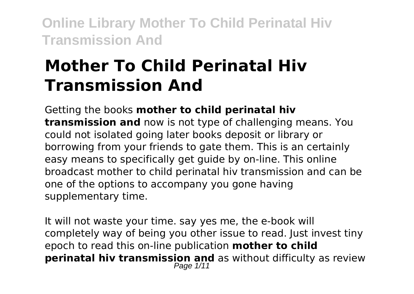# **Mother To Child Perinatal Hiv Transmission And**

Getting the books **mother to child perinatal hiv transmission and** now is not type of challenging means. You could not isolated going later books deposit or library or borrowing from your friends to gate them. This is an certainly easy means to specifically get guide by on-line. This online broadcast mother to child perinatal hiv transmission and can be one of the options to accompany you gone having supplementary time.

It will not waste your time. say yes me, the e-book will completely way of being you other issue to read. Just invest tiny epoch to read this on-line publication **mother to child perinatal hiv transmission and** as without difficulty as review Page  $1/11$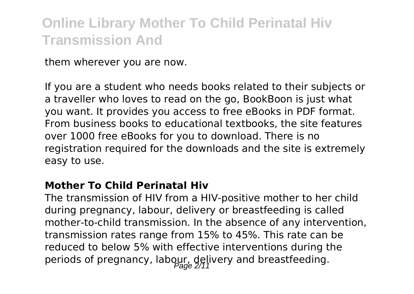them wherever you are now.

If you are a student who needs books related to their subjects or a traveller who loves to read on the go, BookBoon is just what you want. It provides you access to free eBooks in PDF format. From business books to educational textbooks, the site features over 1000 free eBooks for you to download. There is no registration required for the downloads and the site is extremely easy to use.

#### **Mother To Child Perinatal Hiv**

The transmission of HIV from a HIV-positive mother to her child during pregnancy, labour, delivery or breastfeeding is called mother-to-child transmission. In the absence of any intervention, transmission rates range from 15% to 45%. This rate can be reduced to below 5% with effective interventions during the periods of pregnancy, labour, delivery and breastfeeding.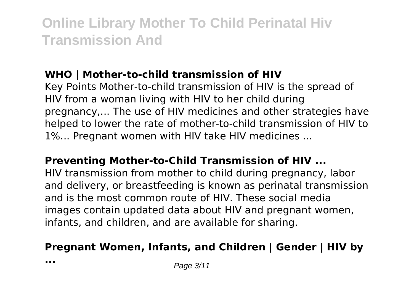### **WHO | Mother-to-child transmission of HIV**

Key Points Mother-to-child transmission of HIV is the spread of HIV from a woman living with HIV to her child during pregnancy,... The use of HIV medicines and other strategies have helped to lower the rate of mother-to-child transmission of HIV to 1%... Pregnant women with HIV take HIV medicines ...

#### **Preventing Mother-to-Child Transmission of HIV ...**

HIV transmission from mother to child during pregnancy, labor and delivery, or breastfeeding is known as perinatal transmission and is the most common route of HIV. These social media images contain updated data about HIV and pregnant women, infants, and children, and are available for sharing.

### **Pregnant Women, Infants, and Children | Gender | HIV by**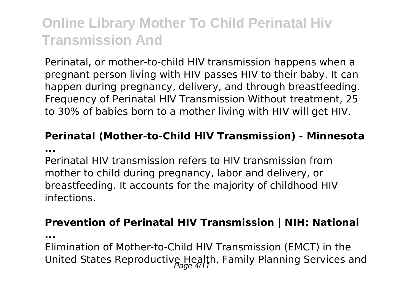Perinatal, or mother-to-child HIV transmission happens when a pregnant person living with HIV passes HIV to their baby. It can happen during pregnancy, delivery, and through breastfeeding. Frequency of Perinatal HIV Transmission Without treatment, 25 to 30% of babies born to a mother living with HIV will get HIV.

#### **Perinatal (Mother-to-Child HIV Transmission) - Minnesota ...**

Perinatal HIV transmission refers to HIV transmission from mother to child during pregnancy, labor and delivery, or breastfeeding. It accounts for the majority of childhood HIV infections.

#### **Prevention of Perinatal HIV Transmission | NIH: National**

**...**

Elimination of Mother-to-Child HIV Transmission (EMCT) in the United States Reproductive Health, Family Planning Services and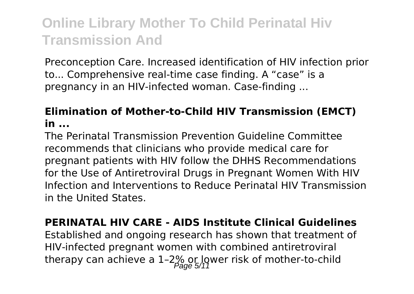Preconception Care. Increased identification of HIV infection prior to... Comprehensive real-time case finding. A "case" is a pregnancy in an HIV-infected woman. Case-finding ...

### **Elimination of Mother-to-Child HIV Transmission (EMCT) in ...**

The Perinatal Transmission Prevention Guideline Committee recommends that clinicians who provide medical care for pregnant patients with HIV follow the DHHS Recommendations for the Use of Antiretroviral Drugs in Pregnant Women With HIV Infection and Interventions to Reduce Perinatal HIV Transmission in the United States.

#### **PERINATAL HIV CARE - AIDS Institute Clinical Guidelines** Established and ongoing research has shown that treatment of

HIV-infected pregnant women with combined antiretroviral therapy can achieve a 1-2% or lower risk of mother-to-child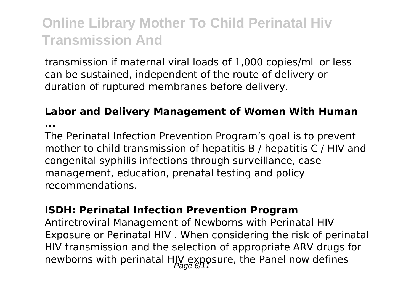transmission if maternal viral loads of 1,000 copies/mL or less can be sustained, independent of the route of delivery or duration of ruptured membranes before delivery.

#### **Labor and Delivery Management of Women With Human**

**...**

The Perinatal Infection Prevention Program's goal is to prevent mother to child transmission of hepatitis B / hepatitis C / HIV and congenital syphilis infections through surveillance, case management, education, prenatal testing and policy recommendations.

#### **ISDH: Perinatal Infection Prevention Program**

Antiretroviral Management of Newborns with Perinatal HIV Exposure or Perinatal HIV . When considering the risk of perinatal HIV transmission and the selection of appropriate ARV drugs for newborns with perinatal HIV exposure, the Panel now defines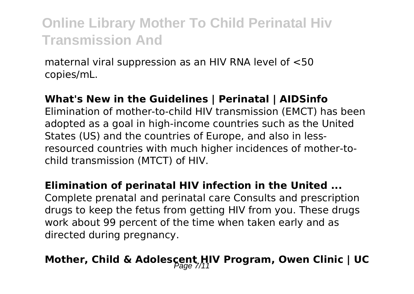maternal viral suppression as an HIV RNA level of <50 copies/mL.

#### **What's New in the Guidelines | Perinatal | AIDSinfo**

Elimination of mother-to-child HIV transmission (EMCT) has been adopted as a goal in high-income countries such as the United States (US) and the countries of Europe, and also in lessresourced countries with much higher incidences of mother-tochild transmission (MTCT) of HIV.

#### **Elimination of perinatal HIV infection in the United ...**

Complete prenatal and perinatal care Consults and prescription drugs to keep the fetus from getting HIV from you. These drugs work about 99 percent of the time when taken early and as directed during pregnancy.

## Mother, Child & Adolescent HIV Program, Owen Clinic | UC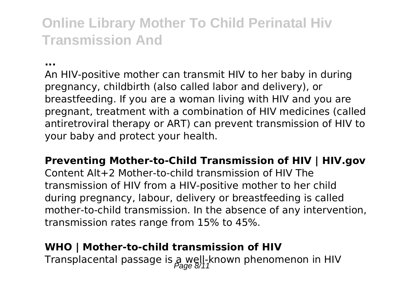**...**

An HIV-positive mother can transmit HIV to her baby in during pregnancy, childbirth (also called labor and delivery), or breastfeeding. If you are a woman living with HIV and you are pregnant, treatment with a combination of HIV medicines (called antiretroviral therapy or ART) can prevent transmission of HIV to your baby and protect your health.

**Preventing Mother-to-Child Transmission of HIV | HIV.gov** Content Alt+2 Mother-to-child transmission of HIV The transmission of HIV from a HIV-positive mother to her child during pregnancy, labour, delivery or breastfeeding is called mother-to-child transmission. In the absence of any intervention, transmission rates range from 15% to 45%.

### **WHO | Mother-to-child transmission of HIV**

Transplacental passage is  $a$  well-known phenomenon in HIV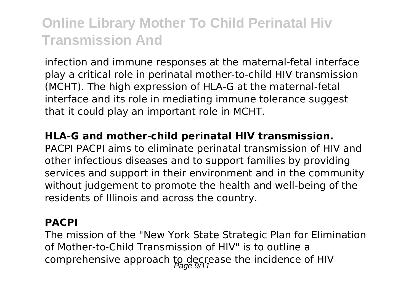infection and immune responses at the maternal-fetal interface play a critical role in perinatal mother-to-child HIV transmission (MCHT). The high expression of HLA-G at the maternal-fetal interface and its role in mediating immune tolerance suggest that it could play an important role in MCHT.

#### **HLA-G and mother-child perinatal HIV transmission.**

PACPI PACPI aims to eliminate perinatal transmission of HIV and other infectious diseases and to support families by providing services and support in their environment and in the community without judgement to promote the health and well-being of the residents of Illinois and across the country.

#### **PACPI**

The mission of the "New York State Strategic Plan for Elimination of Mother-to-Child Transmission of HIV" is to outline a comprehensive approach to decrease the incidence of HIV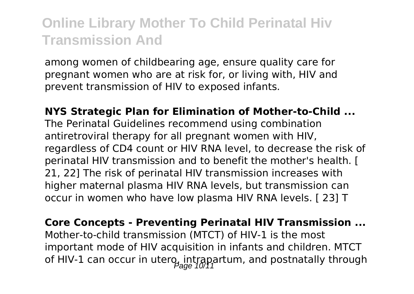among women of childbearing age, ensure quality care for pregnant women who are at risk for, or living with, HIV and prevent transmission of HIV to exposed infants.

**NYS Strategic Plan for Elimination of Mother-to-Child ...** The Perinatal Guidelines recommend using combination antiretroviral therapy for all pregnant women with HIV, regardless of CD4 count or HIV RNA level, to decrease the risk of perinatal HIV transmission and to benefit the mother's health. [ 21, 22] The risk of perinatal HIV transmission increases with higher maternal plasma HIV RNA levels, but transmission can occur in women who have low plasma HIV RNA levels. [ 23] T

**Core Concepts - Preventing Perinatal HIV Transmission ...** Mother-to-child transmission (MTCT) of HIV-1 is the most important mode of HIV acquisition in infants and children. MTCT of HIV-1 can occur in utero, intrapartum, and postnatally through